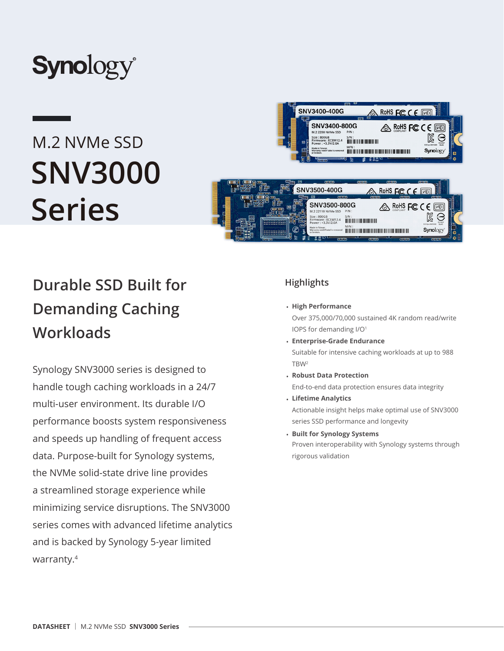

# M.2 NVMe SSD **SNV3000 Series**



# **Durable SSD Built for Demanding Caching Workloads**

Synology SNV3000 series is designed to handle tough caching workloads in a 24/7 multi-user environment. Its durable I/O performance boosts system responsiveness and speeds up handling of frequent access data. Purpose-built for Synology systems, the NVMe solid-state drive line provides a streamlined storage experience while minimizing service disruptions. The SNV3000 series comes with advanced lifetime analytics and is backed by Synology 5-year limited warranty.4

## **Highlights**

• **High Performance**

Over 375,000/70,000 sustained 4K random read/write IOPS for demanding I/O1

- **Enterprise-Grade Endurance** Suitable for intensive caching workloads at up to 988 TBW2
- **Robust Data Protection** End-to-end data protection ensures data integrity
- **Lifetime Analytics** Actionable insight helps make optimal use of SNV3000 series SSD performance and longevity
- **Built for Synology Systems** Proven interoperability with Synology systems through rigorous validation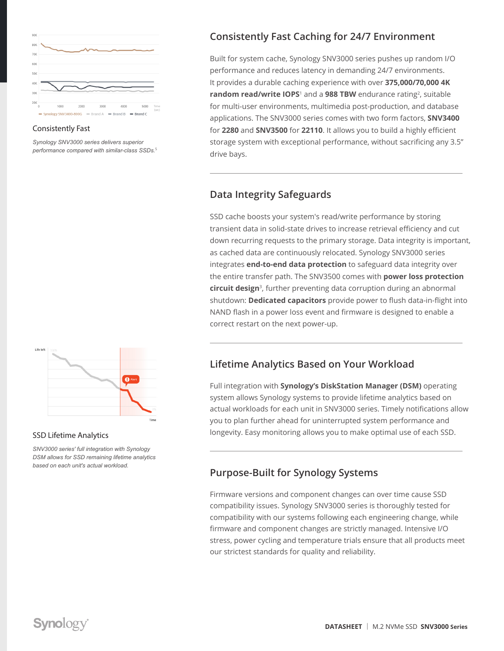



*Synology SNV3000 series delivers superior performance compared with similar-class SSDs.*5



#### SSD Lifetime Analytics

*SNV3000 series' full integration with Synology DSM allows for SSD remaining lifetime analytics based on each unit's actual workload.*

# **Consistently Fast Caching for 24/7 Environment**

Built for system cache, Synology SNV3000 series pushes up random I/O performance and reduces latency in demanding 24/7 environments. It provides a durable caching experience with over **375,000/70,000 4K random read/write IOPS<sup>1</sup> and a 988 TBW** endurance rating<sup>2</sup>, suitable for multi-user environments, multimedia post-production, and database applications. The SNV3000 series comes with two form factors, **SNV3400**  for **2280** and **SNV3500** for **22110**. It allows you to build a highly efficient storage system with exceptional performance, without sacrificing any 3.5" drive bays.

#### **Data Integrity Safeguards**

SSD cache boosts your system's read/write performance by storing transient data in solid-state drives to increase retrieval efficiency and cut down recurring requests to the primary storage. Data integrity is important, as cached data are continuously relocated. Synology SNV3000 series integrates **end-to-end data protection** to safeguard data integrity over the entire transfer path. The SNV3500 comes with **power loss protection circuit design**3, further preventing data corruption during an abnormal shutdown: **Dedicated capacitors** provide power to flush data-in-flight into NAND flash in a power loss event and firmware is designed to enable a correct restart on the next power-up.

### **Lifetime Analytics Based on Your Workload**

Full integration with **Synology's DiskStation Manager (DSM)** operating system allows Synology systems to provide lifetime analytics based on actual workloads for each unit in SNV3000 series. Timely notifications allow you to plan further ahead for uninterrupted system performance and longevity. Easy monitoring allows you to make optimal use of each SSD.

### **Purpose-Built for Synology Systems**

Firmware versions and component changes can over time cause SSD compatibility issues. Synology SNV3000 series is thoroughly tested for compatibility with our systems following each engineering change, while firmware and component changes are strictly managed. Intensive I/O stress, power cycling and temperature trials ensure that all products meet our strictest standards for quality and reliability.